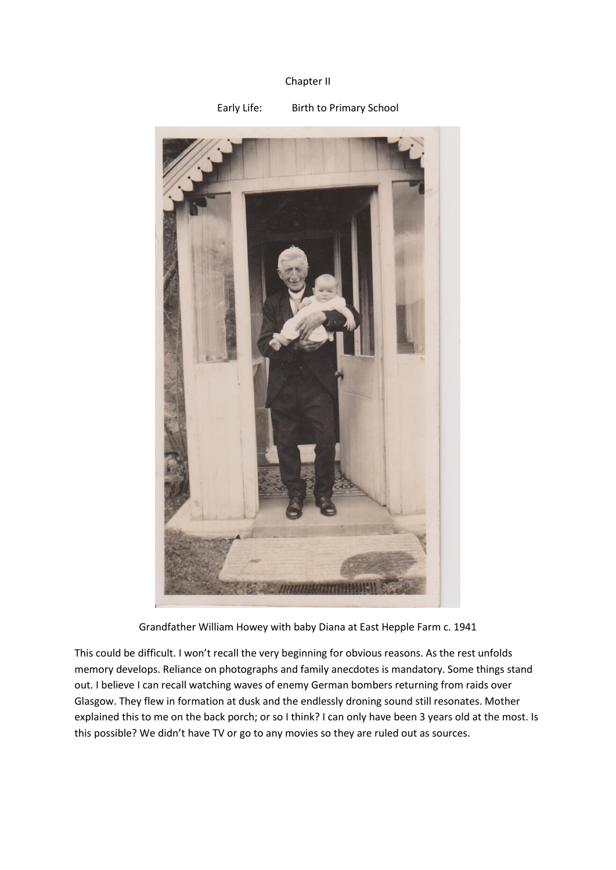## Chapter II



Grandfather William Howey with baby Diana at East Hepple Farm c. 1941

This could be difficult. I won't recall the very beginning for obvious reasons. As the rest unfolds memory develops. Reliance on photographs and family anecdotes is mandatory. Some things stand out. I believe I can recall watching waves of enemy German bombers returning from raids over Glasgow. They flew in formation at dusk and the endlessly droning sound still resonates. Mother explained this to me on the back porch; or so I think? I can only have been 3 years old at the most. Is this possible? We didn't have TV or go to any movies so they are ruled out as sources.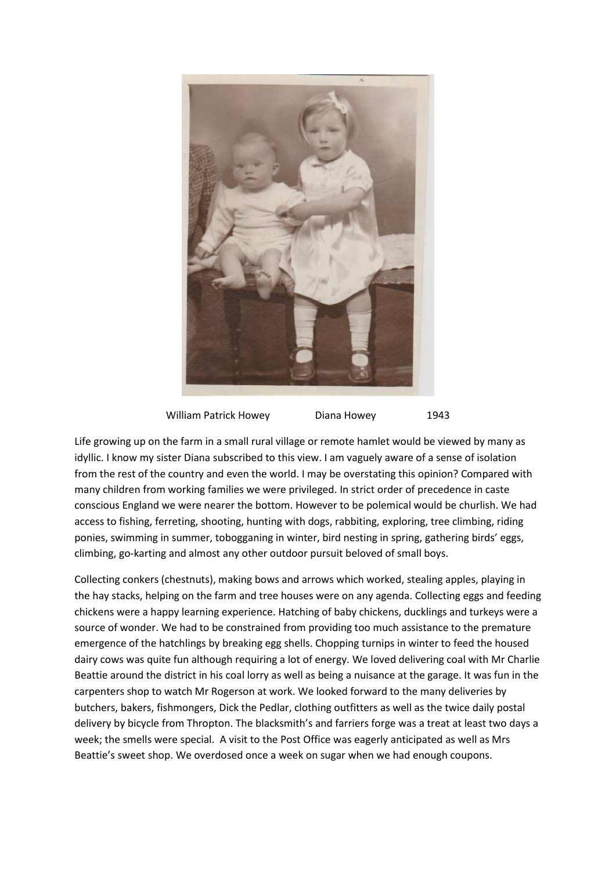

William Patrick Howey Diana Howey 1943

Life growing up on the farm in a small rural village or remote hamlet would be viewed by many as idyllic. I know my sister Diana subscribed to this view. I am vaguely aware of a sense of isolation from the rest of the country and even the world. I may be overstating this opinion? Compared with many children from working families we were privileged. In strict order of precedence in caste conscious England we were nearer the bottom. However to be polemical would be churlish. We had access to fishing, ferreting, shooting, hunting with dogs, rabbiting, exploring, tree climbing, riding ponies, swimming in summer, tobogganing in winter, bird nesting in spring, gathering birds' eggs, climbing, go-karting and almost any other outdoor pursuit beloved of small boys.

Collecting conkers (chestnuts), making bows and arrows which worked, stealing apples, playing in the hay stacks, helping on the farm and tree houses were on any agenda. Collecting eggs and feeding chickens were a happy learning experience. Hatching of baby chickens, ducklings and turkeys were a source of wonder. We had to be constrained from providing too much assistance to the premature emergence of the hatchlings by breaking egg shells. Chopping turnips in winter to feed the housed dairy cows was quite fun although requiring a lot of energy. We loved delivering coal with Mr Charlie Beattie around the district in his coal lorry as well as being a nuisance at the garage. It was fun in the carpenters shop to watch Mr Rogerson at work. We looked forward to the many deliveries by butchers, bakers, fishmongers, Dick the Pedlar, clothing outfitters as well as the twice daily postal delivery by bicycle from Thropton. The blacksmith's and farriers forge was a treat at least two days a week; the smells were special. A visit to the Post Office was eagerly anticipated as well as Mrs Beattie's sweet shop. We overdosed once a week on sugar when we had enough coupons.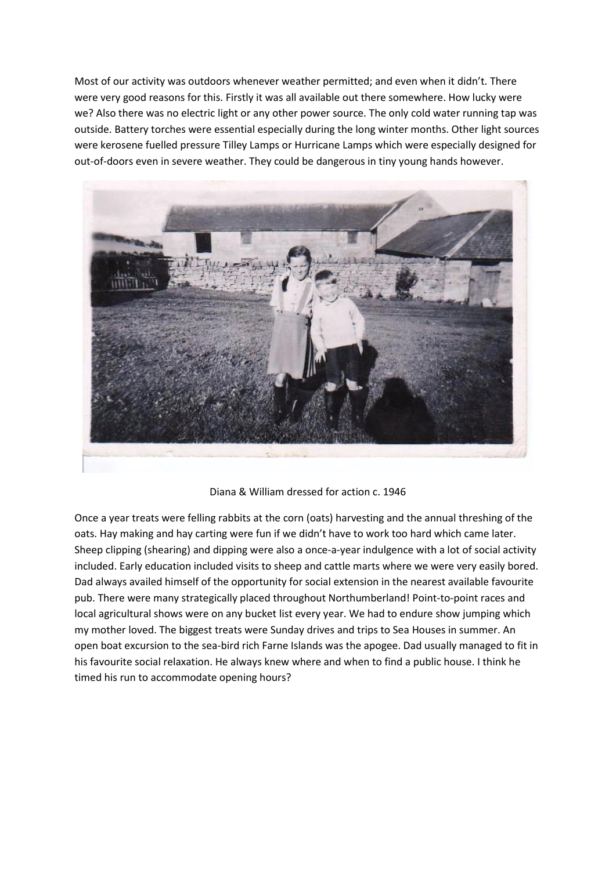Most of our activity was outdoors whenever weather permitted; and even when it didn't. There were very good reasons for this. Firstly it was all available out there somewhere. How lucky were we? Also there was no electric light or any other power source. The only cold water running tap was outside. Battery torches were essential especially during the long winter months. Other light sources were kerosene fuelled pressure Tilley Lamps or Hurricane Lamps which were especially designed for out-of-doors even in severe weather. They could be dangerous in tiny young hands however.



Diana & William dressed for action c. 1946

Once a year treats were felling rabbits at the corn (oats) harvesting and the annual threshing of the oats. Hay making and hay carting were fun if we didn't have to work too hard which came later. Sheep clipping (shearing) and dipping were also a once-a-year indulgence with a lot of social activity included. Early education included visits to sheep and cattle marts where we were very easily bored. Dad always availed himself of the opportunity for social extension in the nearest available favourite pub. There were many strategically placed throughout Northumberland! Point-to-point races and local agricultural shows were on any bucket list every year. We had to endure show jumping which my mother loved. The biggest treats were Sunday drives and trips to Sea Houses in summer. An open boat excursion to the sea-bird rich Farne Islands was the apogee. Dad usually managed to fit in his favourite social relaxation. He always knew where and when to find a public house. I think he timed his run to accommodate opening hours?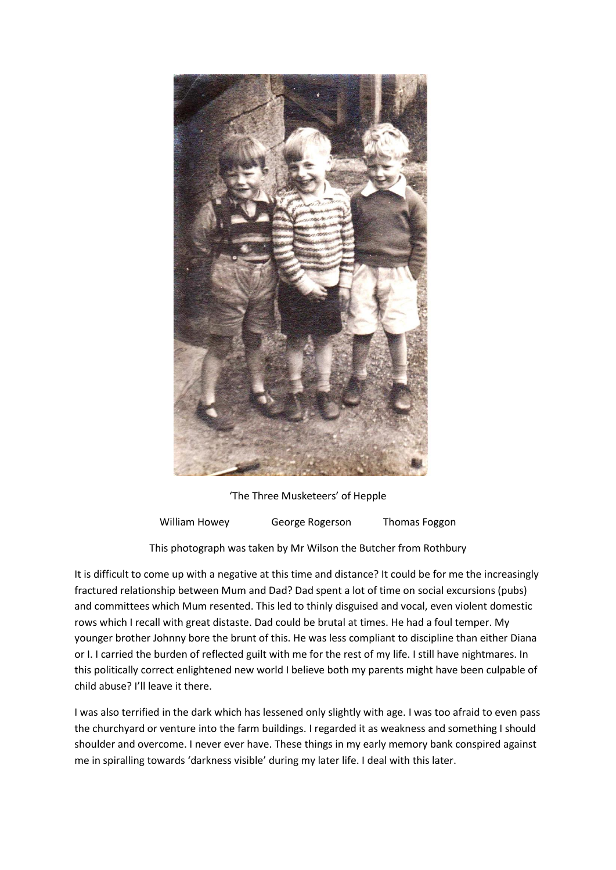

'The Three Musketeers' of Hepple

William Howey **George Rogerson** Thomas Foggon

This photograph was taken by Mr Wilson the Butcher from Rothbury

It is difficult to come up with a negative at this time and distance? It could be for me the increasingly fractured relationship between Mum and Dad? Dad spent a lot of time on social excursions (pubs) and committees which Mum resented. This led to thinly disguised and vocal, even violent domestic rows which I recall with great distaste. Dad could be brutal at times. He had a foul temper. My younger brother Johnny bore the brunt of this. He was less compliant to discipline than either Diana or I. I carried the burden of reflected guilt with me for the rest of my life. I still have nightmares. In this politically correct enlightened new world I believe both my parents might have been culpable of child abuse? I'll leave it there.

I was also terrified in the dark which has lessened only slightly with age. I was too afraid to even pass the churchyard or venture into the farm buildings. I regarded it as weakness and something I should shoulder and overcome. I never ever have. These things in my early memory bank conspired against me in spiralling towards 'darkness visible' during my later life. I deal with this later.